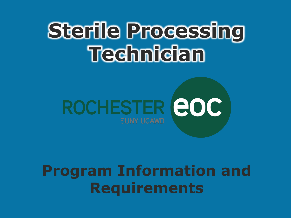# **Sterile Processing Technician**



#### **Program Information and Requirements**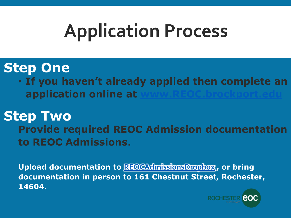# **Application Process**

#### **Step One**

• **If you haven't already applied then complete an application online at** 

#### **Step Two Provide required REOC Admission documentation to REOC Admissions.**

**Upload documentation to [REOCAdmissionsDropbox](https://nam12.safelinks.protection.outlook.com/?url=https%3A%2F%2Fbrockportsuny-my.sharepoint.com%2Fpersonal%2Ffilerequests_brockport_edu%2F_layouts%2F15%2Fonedrive.aspx%3Fp%3D26%26s%3DaHR0cHM6Ly9icm9ja3BvcnRzdW55LW15LnNoYXJlcG9pbnQuY29tLzpmOi9nL3BlcnNvbmFsL2ZpbGVyZXF1ZXN0c19icm9ja3BvcnRfZWR1L0VrQ3YzRGMtY0FsSHJMZG05a2JocmNJQnlVMnRkUHJiVTFZN0w4d2Y2cFA4LVE&data=04%7C01%7Cpbeaudri%40brockport.edu%7C07ecd8fc91f84453181708d9b9b9438e%7C696ec4990f244fd9b691252a2884ef3b%7C0%7C0%7C637745027612093590%7CUnknown%7CTWFpbGZsb3d8eyJWIjoiMC4wLjAwMDAiLCJQIjoiV2luMzIiLCJBTiI6Ik1haWwiLCJXVCI6Mn0%3D%7C3000&sdata=0sll8NyXMsyIO9JpD1HcRSqnVwiPYMHyUwAtkjrLXpQ%3D&reserved=0) , or bring documentation in person to 161 Chestnut Street, Rochester, 14604.**

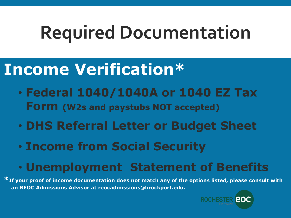#### **Income Verification\***

- **Federal 1040/1040A or 1040 EZ Tax Form (W2s and paystubs NOT accepted)**
- **DHS Referral Letter or Budget Sheet**
- **Income from Social Security**

#### • **Unemployment Statement of Benefits**

**\*If your proof of income documentation does not match any of the options listed, please consult with an REOC Admissions Advisor at reocadmissions@brockport.edu.**

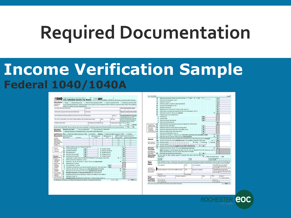#### **Income Verification Sample Federal 1040/1040A**

| <b>Filing Status</b><br>Check only<br>one box.                                                              | Single   Married filing jointly   Married filing separately (MFS)   Head of household (HDH)   Qualifying widowlen (OW)<br>If you checked the MFS box, enter the name of your spouse. If you checked the HOH or QW box, enter the child's name if the qualifying<br>person is a child but not your dependent > |           |                               |                            |                                                                                               |                             |                                                                                                                                                                             |                                       |
|-------------------------------------------------------------------------------------------------------------|---------------------------------------------------------------------------------------------------------------------------------------------------------------------------------------------------------------------------------------------------------------------------------------------------------------|-----------|-------------------------------|----------------------------|-----------------------------------------------------------------------------------------------|-----------------------------|-----------------------------------------------------------------------------------------------------------------------------------------------------------------------------|---------------------------------------|
|                                                                                                             | Your first name and middle initial                                                                                                                                                                                                                                                                            | Last name |                               |                            |                                                                                               | Your social security number |                                                                                                                                                                             |                                       |
| if joint return, spouse's first name and middle initial.                                                    |                                                                                                                                                                                                                                                                                                               |           | Last name                     |                            |                                                                                               |                             | Spouse's social security number                                                                                                                                             |                                       |
|                                                                                                             | Home address (number and street). If you have a P.O. box, see instructions.                                                                                                                                                                                                                                   |           |                               |                            | Act, no.                                                                                      |                             |                                                                                                                                                                             | <b>Presidential Election Campaign</b> |
| City, town, or post office. If you have a foreign address, also complete spaces below.                      |                                                                                                                                                                                                                                                                                                               |           | Enviro                        |                            | ZP code                                                                                       |                             | Check here if you, or your<br>spouse if filing jointly, want \$3<br>to go to this fund. Checking a<br>box below will not change.<br>your tax or refund.<br>$Y$ ou<br>Spouse |                                       |
| Foreign country name                                                                                        |                                                                                                                                                                                                                                                                                                               |           | Foreign province/state/county |                            |                                                                                               | Foreign postal code         |                                                                                                                                                                             |                                       |
|                                                                                                             | At any time during 2020, did you receive, sell, send, exchange, or otherwise acquire any financial interest in any virtual currency? [19]                                                                                                                                                                     |           |                               |                            |                                                                                               |                             |                                                                                                                                                                             | <b>No</b>                             |
| Standard<br><b>Deduction</b>                                                                                | Someone can claim:<br>You as a dependent<br>Spouse itemizes on a separate return or you were a dual-status allent                                                                                                                                                                                             |           |                               | Your spouse as a dependent |                                                                                               |                             |                                                                                                                                                                             |                                       |
|                                                                                                             | Age/Blindness You: Were born before January 2, 1956 Are blind Spouse:                                                                                                                                                                                                                                         |           |                               |                            | Was born before January 2, 1956                                                               |                             |                                                                                                                                                                             | Is blind                              |
| If more<br>than four<br>dependents.<br>see instructions                                                     | Dependents (see instructions):<br><b>CIO</b> Fledationwhip<br><b>CO Social security</b><br>number<br>to you<br>(1) First name<br>Last name                                                                                                                                                                    |           |                               |                            | I-6 V if qualifies for lass instructional:<br>Credit for other dependents<br>Child tax credit |                             |                                                                                                                                                                             |                                       |
|                                                                                                             |                                                                                                                                                                                                                                                                                                               |           |                               |                            |                                                                                               |                             |                                                                                                                                                                             |                                       |
|                                                                                                             |                                                                                                                                                                                                                                                                                                               |           |                               |                            |                                                                                               |                             |                                                                                                                                                                             |                                       |
| and check                                                                                                   |                                                                                                                                                                                                                                                                                                               |           |                               |                            |                                                                                               |                             |                                                                                                                                                                             |                                       |
| here <b>&gt;</b> [                                                                                          |                                                                                                                                                                                                                                                                                                               |           |                               |                            |                                                                                               |                             |                                                                                                                                                                             |                                       |
| Attach                                                                                                      | Wages, salaries, tips, etc. Attach Form(s) W-2<br>۰                                                                                                                                                                                                                                                           |           |                               |                            |                                                                                               |                             | 1.                                                                                                                                                                          |                                       |
|                                                                                                             | Tax-exempt interest<br>2a                                                                                                                                                                                                                                                                                     | 2a        |                               | <b>b</b> Taxable interest  |                                                                                               |                             | $\mathbf{z}$                                                                                                                                                                |                                       |
| Sch. B.If                                                                                                   |                                                                                                                                                                                                                                                                                                               |           |                               |                            |                                                                                               |                             |                                                                                                                                                                             |                                       |
| required.                                                                                                   | Qualified dividends<br>3a                                                                                                                                                                                                                                                                                     | 3a        |                               | <b>b</b> Ordinary dividend |                                                                                               |                             | 36                                                                                                                                                                          |                                       |
|                                                                                                             | 4a<br>IRA distributions .                                                                                                                                                                                                                                                                                     | 4a        |                               | <b>b</b> Taxable amount    |                                                                                               |                             | ٠                                                                                                                                                                           |                                       |
|                                                                                                             | Sa<br>Pensions and annuities:                                                                                                                                                                                                                                                                                 | 5a        |                               | <b>b</b> Taxable amount    |                                                                                               |                             | Sb.                                                                                                                                                                         |                                       |
|                                                                                                             | 6a<br>Social security benefits                                                                                                                                                                                                                                                                                | 6a        |                               | <b>b</b> Taxable amount    |                                                                                               |                             | 6b                                                                                                                                                                          |                                       |
|                                                                                                             | Capital gain or 8oss). Attach Schedule D if required. If not required, check here<br>7                                                                                                                                                                                                                        |           |                               |                            |                                                                                               |                             | $\overline{ }$                                                                                                                                                              |                                       |
| <b>Married Blind</b>                                                                                        | 8<br>Other income from Schedule 1, line 9                                                                                                                                                                                                                                                                     |           |                               |                            |                                                                                               |                             | s.                                                                                                                                                                          |                                       |
| separately.<br>\$12,400                                                                                     | 9<br>Add lines 1, 2b, 3b, 4b, 5b, 6b, 7, and 8. This is your total income                                                                                                                                                                                                                                     |           |                               |                            |                                                                                               |                             | ۰                                                                                                                                                                           |                                       |
|                                                                                                             | 10<br>Adjustments to income:                                                                                                                                                                                                                                                                                  |           |                               |                            |                                                                                               |                             |                                                                                                                                                                             |                                       |
| icinth: cr<br>Qualifying                                                                                    | From Schedule 1, line 22 and a company of the state of the state of the<br>$\blacksquare$                                                                                                                                                                                                                     |           |                               |                            | 10a                                                                                           |                             |                                                                                                                                                                             |                                       |
| widowień.                                                                                                   | Charitable contributions if you take the standard deduction. See instructions<br>ъ                                                                                                                                                                                                                            |           |                               |                            | <b>10b</b>                                                                                    |                             |                                                                                                                                                                             |                                       |
| \$24,900                                                                                                    | Add lines 10a and 10b. These are your total adjustments to income<br>c                                                                                                                                                                                                                                        |           |                               |                            |                                                                                               |                             | 10c                                                                                                                                                                         |                                       |
| household.                                                                                                  | Subtract line 10c from line 9. This is your adjusted gross income<br>11                                                                                                                                                                                                                                       |           |                               |                            |                                                                                               |                             | 11<br>٠                                                                                                                                                                     |                                       |
| Standard<br>Deduction for-<br>· Single or<br>. Married Ning<br>a blassif of<br>\$18,850<br>· If you checked | 12<br>Standard deduction or itemized deductions (from Schedule A)                                                                                                                                                                                                                                             |           |                               |                            |                                                                                               |                             | 12                                                                                                                                                                          |                                       |
| any box under                                                                                               | 13<br>Qualified business income deduction. Attach Form 8995 or Form 8995-A                                                                                                                                                                                                                                    |           |                               |                            |                                                                                               |                             | 13                                                                                                                                                                          |                                       |
| Stendard<br>Deduction.<br>see instructions.                                                                 | 14<br>Add lines 12 and 13                                                                                                                                                                                                                                                                                     |           |                               |                            |                                                                                               |                             | 14                                                                                                                                                                          |                                       |

| Form 1040 (2020)                                                                         |                 |                                                                                                                                                              |                      |                     |                      |                 |                                                                          |                           | $P_{\text{MOM}}$ 2              |
|------------------------------------------------------------------------------------------|-----------------|--------------------------------------------------------------------------------------------------------------------------------------------------------------|----------------------|---------------------|----------------------|-----------------|--------------------------------------------------------------------------|---------------------------|---------------------------------|
|                                                                                          | 16              | Tax (see instructions). Check if any from Formisi: 1 3814 2 4972                                                                                             |                      |                     |                      | $\mathbf{A}$    |                                                                          | 16                        |                                 |
|                                                                                          | 17              | Amount from Schedule 2, line 3                                                                                                                               | 8.187838             |                     |                      |                 |                                                                          | 17                        |                                 |
|                                                                                          | 18              | Add lines 16 and 17 [ [ ] [ ] [ ] [ ]                                                                                                                        |                      |                     |                      |                 |                                                                          | 18                        |                                 |
|                                                                                          | 19              | Child tax credit or credit for other dependents                                                                                                              |                      |                     |                      |                 |                                                                          | 19                        |                                 |
|                                                                                          | $^{56}$         | Amount from Schedule 3, line 7                                                                                                                               |                      |                     |                      |                 |                                                                          | 20                        |                                 |
|                                                                                          | 21              | Add lines 19 and 20                                                                                                                                          |                      |                     |                      |                 |                                                                          | 21                        |                                 |
|                                                                                          | 22              | Subtract line 21 from line 18. If zero or less, enter -O-                                                                                                    |                      |                     |                      |                 |                                                                          | 22                        |                                 |
|                                                                                          | 23              | Other taxes, including self-employment tax, from Schedule 2, line 10                                                                                         |                      |                     |                      |                 |                                                                          | 23                        |                                 |
|                                                                                          | 24              | Add lines 22 and 23. This is your total tax                                                                                                                  |                      |                     |                      |                 |                                                                          | 24                        |                                 |
|                                                                                          | 25              | Federal income tax withheld from:                                                                                                                            |                      |                     |                      |                 |                                                                          |                           |                                 |
|                                                                                          | ٠               | Form(s) W-2                                                                                                                                                  |                      |                     |                      | 25a             |                                                                          |                           |                                 |
|                                                                                          | ь               | Formità 1099<br><b>GALLEY</b>                                                                                                                                |                      |                     |                      | 25 <sub>b</sub> |                                                                          |                           |                                 |
|                                                                                          | $\epsilon$      | Other forms (see instructions)                                                                                                                               |                      |                     |                      | 250             |                                                                          |                           |                                 |
|                                                                                          | d               | Add lines 25a through 25c                                                                                                                                    |                      |                     |                      | <b>MAG</b>      |                                                                          | 25d                       |                                 |
| . If you have a                                                                          | 26              | 2020 estimated tax payments and amount applied from 2019 return.                                                                                             |                      |                     |                      |                 |                                                                          | 26                        |                                 |
| qualifying child.                                                                        | 27              | Earned income credit (EIG).                                                                                                                                  |                      |                     |                      | 27              |                                                                          |                           |                                 |
| attach fach. EXC.<br>. If you have                                                       | 28              | Additional child tax credit. Attach Schedule 8812.                                                                                                           |                      |                     |                      | 28              |                                                                          |                           |                                 |
| <b>FIGHTEENING</b>                                                                       | 29              | American opportunity credit from Form 8863, line 8.                                                                                                          |                      |                     |                      | $29 - 39$       |                                                                          |                           |                                 |
| contast pay.<br>see instructions.                                                        | 30 <sub>o</sub> | Recovery rebate credit. See instructions                                                                                                                     |                      |                     |                      | 30 <sub>o</sub> |                                                                          |                           |                                 |
|                                                                                          | 31              | Amount from Schedule 3, line 13.                                                                                                                             |                      |                     |                      | 31              |                                                                          |                           |                                 |
|                                                                                          | 32              | Add lines 27 through 31. These are your total other payments and refundable credits                                                                          |                      |                     |                      |                 |                                                                          | ٠<br>32                   |                                 |
|                                                                                          | 33              | Add lines 25d, 26, and 32. These are your total payments                                                                                                     |                      |                     | La la La La La La La |                 |                                                                          | ٠<br>33                   |                                 |
|                                                                                          | 34              | If line 33 is more than line 24, subtract line 24 from line 33. This is the amount you overpaid                                                              |                      |                     |                      |                 |                                                                          | 34                        |                                 |
| Refund                                                                                   | 35a             | Amount of line 34 you want refunded to you. If Form 8888 is attached, check here                                                                             |                      |                     |                      |                 |                                                                          | ▸□<br>35a                 |                                 |
| Direct directif?<br>See instructions.                                                    | b               | Routing number                                                                                                                                               |                      |                     | $P c$ Type:          | <b>Checking</b> | Savings                                                                  |                           |                                 |
|                                                                                          | <b>Fd</b>       | Account number                                                                                                                                               |                      |                     |                      |                 |                                                                          |                           |                                 |
|                                                                                          | 36              | Amount of line 34 you want applied to your 2021 estimated tax                                                                                                |                      |                     | ٠                    | 36              |                                                                          |                           |                                 |
| Amount                                                                                   | 37              |                                                                                                                                                              |                      |                     |                      |                 |                                                                          | 37                        |                                 |
| You Owe                                                                                  |                 | Subtract line 33 from line 24. This is the amount you owe now                                                                                                |                      |                     |                      |                 |                                                                          | ٠                         |                                 |
| For details on                                                                           |                 | Note: Schedule H and Schedule SE filers, line 37 may not represent all of the taxes you owe for                                                              |                      |                     |                      |                 |                                                                          |                           |                                 |
| how to pay, see                                                                          | 38              | 2020. See Schedule 3, line 12e, and its instructions for details.                                                                                            |                      |                     |                      | 38 <sup>1</sup> |                                                                          |                           |                                 |
| instructions.                                                                            |                 | Estimated tax penalty (see instructions)                                                                                                                     |                      |                     |                      |                 |                                                                          |                           |                                 |
| <b>Third Party</b><br>Designee                                                           |                 | Do you want to allow another person to discuss this return with the IRS? See<br>instructions and a series and a                                              |                      |                     | . <b>.</b>           |                 |                                                                          | Ves, Complete below. No   |                                 |
|                                                                                          |                 | Designes's                                                                                                                                                   |                      | Phone               |                      |                 |                                                                          | Personal identification   |                                 |
|                                                                                          |                 | name >                                                                                                                                                       |                      | no.                 |                      |                 | number (PBG >                                                            |                           |                                 |
|                                                                                          |                 | Linder penalties of perjury, I declare that I have examined this return and accompanying schedules and statements, and to the best of my knowledge and       |                      |                     |                      |                 |                                                                          |                           |                                 |
|                                                                                          |                 | belief, they are true, correct, and complete. Declaration of preparer lother than taxpayer) is based on all information of which preparer has any knowledge. |                      |                     |                      |                 |                                                                          |                           |                                 |
| Sign                                                                                     |                 | Your signifure                                                                                                                                               |                      | Date                | Your occupation      |                 |                                                                          |                           | If the IRS sent you an identity |
|                                                                                          |                 |                                                                                                                                                              |                      |                     |                      |                 |                                                                          | <b>Isaa</b> inst.) >      | Protection P/N, enter it here   |
|                                                                                          |                 |                                                                                                                                                              |                      |                     |                      |                 |                                                                          |                           |                                 |
|                                                                                          |                 |                                                                                                                                                              |                      | Spouse's occupation |                      |                 | If the IRS sent your spouse an<br>Stentity Protection PIN, enter it have |                           |                                 |
|                                                                                          |                 | Spouse's signature. If a joint return, both must sign.                                                                                                       |                      | Date                |                      |                 |                                                                          |                           |                                 |
|                                                                                          |                 |                                                                                                                                                              |                      |                     |                      |                 |                                                                          | (see inst.)               |                                 |
|                                                                                          |                 |                                                                                                                                                              |                      | Email actives:      |                      |                 |                                                                          |                           |                                 |
| Here<br><b>Concepts British</b><br>See instructions.<br>Keep a copy for<br>your records. |                 | Phone no.                                                                                                                                                    |                      |                     |                      |                 | <b>PTM</b>                                                               |                           |                                 |
| Paid                                                                                     |                 | Preparer's name                                                                                                                                              | Preparer's signature |                     |                      | Date            |                                                                          |                           | <b>Check if:</b>                |
|                                                                                          |                 |                                                                                                                                                              |                      |                     |                      |                 |                                                                          |                           | Salt-employed                   |
| Preparer<br><b>Use Only</b>                                                              |                 | Firm's name ><br>Ferri's address >                                                                                                                           |                      |                     |                      |                 |                                                                          | Phone no.<br>Fencis EBL P |                                 |

eoc **ROCHESTER**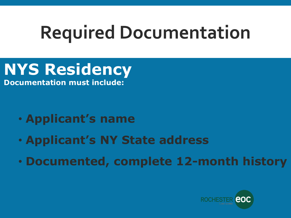**NYS Residency** 

**Documentation must include:**

- **Applicant's name**
- **Applicant's NY State address**
- **Documented, complete 12-month history**

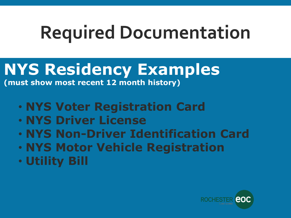#### **NYS Residency Examples**

**(must show most recent 12 month history)**

- **NYS Voter Registration Card**
- **NYS Driver License**
- **NYS Non-Driver Identification Card**
- **NYS Motor Vehicle Registration**
- **Utility Bill**

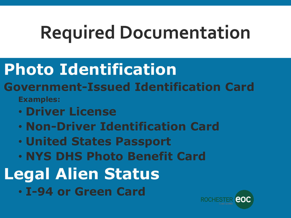### **Photo Identification**

#### **Government-Issued Identification Card Examples:**

- **Driver License**
- **Non-Driver Identification Card**
- **United States Passport**
- **NYS DHS Photo Benefit Card**
- **Legal Alien Status**
	- **I-94 or Green Card**

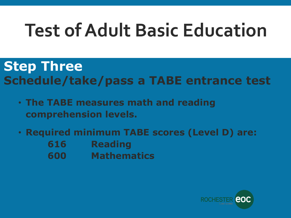## **Test of Adult Basic Education**

#### **Step Three Schedule/take/pass a TABE entrance test**

- **The TABE measures math and reading comprehension levels.**
- **Required minimum TABE scores (Level D) are: 616 Reading**
	-
	- **600 Mathematics**

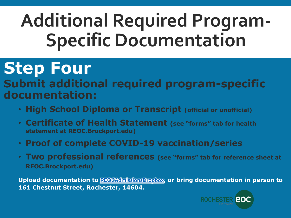### **Additional Required Program-Specific Documentation**

### **Step Four**

#### **Submit additional required program-specific documentation:**

- **High School Diploma or Transcript (official or unofficial)**
- **Certificate of Health Statement (see "forms" tab for health statement at REOC.Brockport.edu)**
- **Proof of complete COVID-19 vaccination/series**
- **Two professional references (see "forms" tab for reference sheet at REOC.Brockport.edu)**

**Upload documentation to [REOCAdmissionsDropbox](https://nam12.safelinks.protection.outlook.com/?url=https%3A%2F%2Fbrockportsuny-my.sharepoint.com%2Fpersonal%2Ffilerequests_brockport_edu%2F_layouts%2F15%2Fonedrive.aspx%3Fp%3D26%26s%3DaHR0cHM6Ly9icm9ja3BvcnRzdW55LW15LnNoYXJlcG9pbnQuY29tLzpmOi9nL3BlcnNvbmFsL2ZpbGVyZXF1ZXN0c19icm9ja3BvcnRfZWR1L0VrQ3YzRGMtY0FsSHJMZG05a2JocmNJQnlVMnRkUHJiVTFZN0w4d2Y2cFA4LVE&data=04%7C01%7Cpbeaudri%40brockport.edu%7C07ecd8fc91f84453181708d9b9b9438e%7C696ec4990f244fd9b691252a2884ef3b%7C0%7C0%7C637745027612093590%7CUnknown%7CTWFpbGZsb3d8eyJWIjoiMC4wLjAwMDAiLCJQIjoiV2luMzIiLCJBTiI6Ik1haWwiLCJXVCI6Mn0%3D%7C3000&sdata=0sll8NyXMsyIO9JpD1HcRSqnVwiPYMHyUwAtkjrLXpQ%3D&reserved=0), or bring documentation in person to 161 Chestnut Street, Rochester, 14604.**

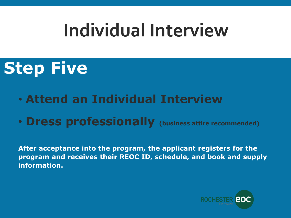### **Individual Interview**

### **Step Five**

- **Attend an Individual Interview**
- **Dress professionally (business attire recommended)**

**After acceptance into the program, the applicant registers for the program and receives their REOC ID, schedule, and book and supply information.**

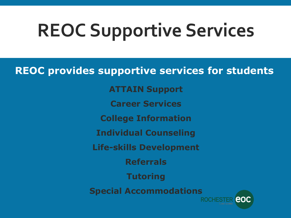## **REOC Supportive Services**

**REOC provides supportive services for students**

**ATTAIN Support**

**Career Services**

**College Information**

**Individual Counseling**

**Life-skills Development**

**Referrals**

**Tutoring**

**Special Accommodations**

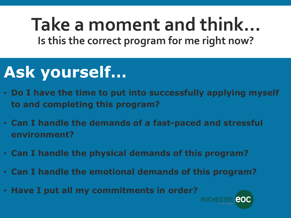**Take a moment and think… Is this the correct program for me right now?**

### **Ask yourself…**

- **Do I have the time to put into successfully applying myself to and completing this program?**
- **Can I handle the demands of a fast-paced and stressful environment?**
- **Can I handle the physical demands of this program?**
- **Can I handle the emotional demands of this program?**
- **Have I put all my commitments in order?**

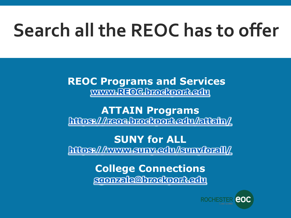## **Search all the REOC has to offer**

**REOC Programs and Services [www.REOC.brockport.edu](http://www.reoc.brockport.edu/)**

**ATTAIN Programs <https://reoc.brockport.edu/attain/>**

**SUNY for ALL <https://www.suny.edu/sunyforall/>**

> **College Connections [sgonzale@brockport.edu](mailto:sgonzale@Brockport.edu)**